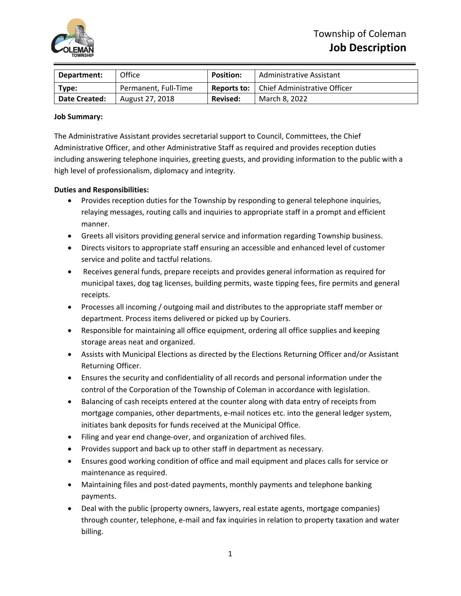

| Department:          | Office               | <b>Position:</b> | Administrative Assistant                          |
|----------------------|----------------------|------------------|---------------------------------------------------|
| Type:                | Permanent, Full-Time |                  | <b>Reports to:</b>   Chief Administrative Officer |
| <b>Date Created:</b> | August 27, 2018      | <b>Revised:</b>  | March 8, 2022                                     |

### **Job Summary:**

The Administrative Assistant provides secretarial support to Council, Committees, the Chief Administrative Officer, and other Administrative Staff as required and provides reception duties including answering telephone inquiries, greeting guests, and providing information to the public with a high level of professionalism, diplomacy and integrity.

### **Duties and Responsibilities:**

- Provides reception duties for the Township by responding to general telephone inquiries, relaying messages, routing calls and inquiries to appropriate staff in a prompt and efficient manner.
- Greets all visitors providing general service and information regarding Township business.
- Directs visitors to appropriate staff ensuring an accessible and enhanced level of customer service and polite and tactful relations.
- Receives general funds, prepare receipts and provides general information as required for municipal taxes, dog tag licenses, building permits, waste tipping fees, fire permits and general receipts.
- Processes all incoming / outgoing mail and distributes to the appropriate staff member or department. Process items delivered or picked up by Couriers.
- Responsible for maintaining all office equipment, ordering all office supplies and keeping storage areas neat and organized.
- Assists with Municipal Elections as directed by the Elections Returning Officer and/or Assistant Returning Officer.
- Ensures the security and confidentiality of all records and personal information under the control of the Corporation of the Township of Coleman in accordance with legislation.
- Balancing of cash receipts entered at the counter along with data entry of receipts from mortgage companies, other departments, e‐mail notices etc. into the general ledger system, initiates bank deposits for funds received at the Municipal Office.
- Filing and year end change‐over, and organization of archived files.
- Provides support and back up to other staff in department as necessary.
- Ensures good working condition of office and mail equipment and places calls for service or maintenance as required.
- Maintaining files and post-dated payments, monthly payments and telephone banking payments.
- Deal with the public (property owners, lawyers, real estate agents, mortgage companies) through counter, telephone, e‐mail and fax inquiries in relation to property taxation and water billing.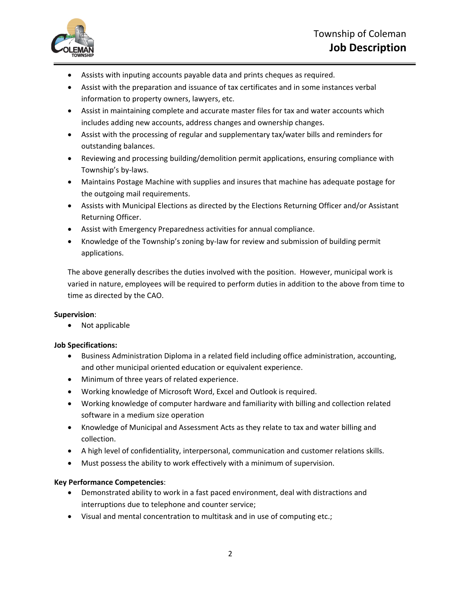

- Assists with inputing accounts payable data and prints cheques as required.
- Assist with the preparation and issuance of tax certificates and in some instances verbal information to property owners, lawyers, etc.
- Assist in maintaining complete and accurate master files for tax and water accounts which includes adding new accounts, address changes and ownership changes.
- Assist with the processing of regular and supplementary tax/water bills and reminders for outstanding balances.
- Reviewing and processing building/demolition permit applications, ensuring compliance with Township's by‐laws.
- Maintains Postage Machine with supplies and insures that machine has adequate postage for the outgoing mail requirements.
- Assists with Municipal Elections as directed by the Elections Returning Officer and/or Assistant Returning Officer.
- Assist with Emergency Preparedness activities for annual compliance.
- Knowledge of the Township's zoning by-law for review and submission of building permit applications.

The above generally describes the duties involved with the position. However, municipal work is varied in nature, employees will be required to perform duties in addition to the above from time to time as directed by the CAO.

# **Supervision**:

• Not applicable

# **Job Specifications:**

- Business Administration Diploma in a related field including office administration, accounting, and other municipal oriented education or equivalent experience.
- Minimum of three years of related experience.
- Working knowledge of Microsoft Word, Excel and Outlook is required.
- Working knowledge of computer hardware and familiarity with billing and collection related software in a medium size operation
- Knowledge of Municipal and Assessment Acts as they relate to tax and water billing and collection.
- A high level of confidentiality, interpersonal, communication and customer relations skills.
- Must possess the ability to work effectively with a minimum of supervision.

# **Key Performance Competencies**:

- Demonstrated ability to work in a fast paced environment, deal with distractions and interruptions due to telephone and counter service;
- Visual and mental concentration to multitask and in use of computing etc.;